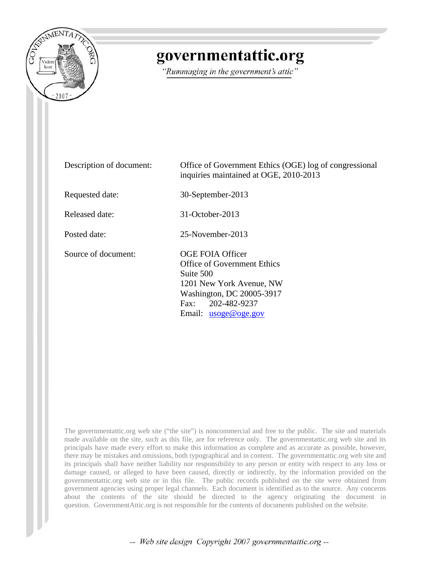

## governmentattic.org

"Rummaging in the government's attic"

| Description of document: | Office of Government Ethics (OGE) log of congressional<br>inquiries maintained at OGE, 2010-2013                                                                     |
|--------------------------|----------------------------------------------------------------------------------------------------------------------------------------------------------------------|
| Requested date:          | 30-September-2013                                                                                                                                                    |
| Released date:           | $31$ -October-2013                                                                                                                                                   |
| Posted date:             | 25-November-2013                                                                                                                                                     |
| Source of document:      | OGE FOIA Officer<br>Office of Government Ethics<br>Suite 500<br>1201 New York Avenue, NW<br>Washington, DC 20005-3917<br>Fax: 202-482-9237<br>Email: $usoge@oge.gov$ |

The governmentattic.org web site ("the site") is noncommercial and free to the public. The site and materials made available on the site, such as this file, are for reference only. The governmentattic.org web site and its principals have made every effort to make this information as complete and as accurate as possible, however, there may be mistakes and omissions, both typographical and in content. The governmentattic.org web site and its principals shall have neither liability nor responsibility to any person or entity with respect to any loss or damage caused, or alleged to have been caused, directly or indirectly, by the information provided on the governmentattic.org web site or in this file. The public records published on the site were obtained from government agencies using proper legal channels. Each document is identified as to the source. Any concerns about the contents of the site should be directed to the agency originating the document in question. GovernmentAttic.org is not responsible for the contents of documents published on the website.

-- Web site design Copyright 2007 governmentattic.org --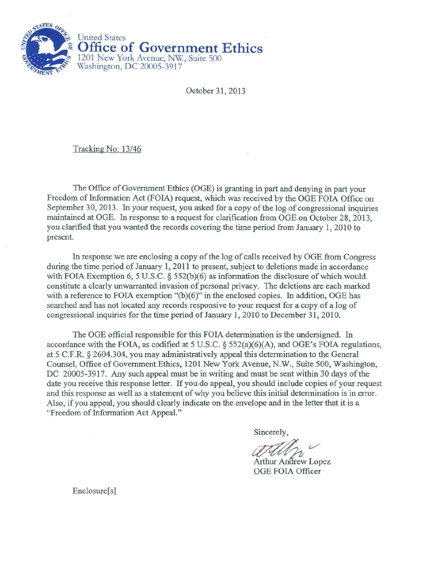

October 31, 2013

Tracking No: 13/46

The Office of Government Ethics (OGE) is granting in part and denying in part your Freedom of Information Act (FOIA) request, which was received by the OGE FOIA Office on September 30, 2013. In your request, you asked for a copy of the log of congressional inquiries maintained at OGE. In response to a request for clarification from OGE on October 28, 2013, you clarified that you wanted the records covering the time period from January 1, 2010 to present.

In response we are enclosing a copy of the log of calls received by OGE from Congress during the time period of January 1, 2011 to present, subject to deletions made in accordance with FOIA Exemption 6, 5 U.S.C. § 552(b)(6) as information the disclosure of which would constitute a clearly unwarranted invasion of personal privacy. The deletions are each marked with a reference to FOIA exemption "(b)(6)" in the enclosed copies. In addition, OGE has searched and has not located any records responsive to your request for a copy of a log of congressional inquiries for the time period of January l, 2010 to December 31, 2010.

The OGE official responsible for this FOIA determination is the undersigned. In accordance with the FOIA, as codified at 5 U.S.C.  $\S$  552(a)(6)(A), and OGE's FOIA regulations, at 5 C.F.R. § 2604.304, you may administratively appeal this determination to the General Counsel, Office of Government Ethics, 1201 New York Avenue, N.W., Suite 500, Washington, DC 20005-3917. Any such appeal must be in writing and must be sent within 30 days of the date you receive this response letter. If you do appeal, you should include copies of your request and this response as well as a statement of why you believe this initial determination is in error. Also, if you appeal, you should clearly indicate on the envelope and in the letter that it is a "Freedom of Information Act Appeal."

Sincerely,

Arthur Andrew Lopez OGE FOIA Officer

Enclosure[s]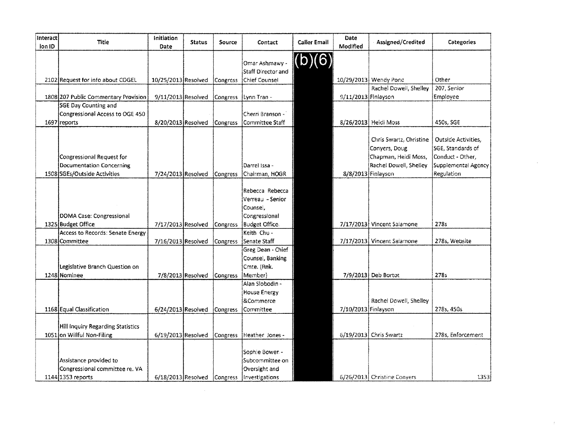| Interact<br>ion ID | Title                                                                   | Initiation<br>Date   | <b>Status</b> | Source   | Contact                                              | <b>Caller Email</b> | Date<br>Modified    | Assigned/Credited                                                                          | Categories                                                                                 |
|--------------------|-------------------------------------------------------------------------|----------------------|---------------|----------|------------------------------------------------------|---------------------|---------------------|--------------------------------------------------------------------------------------------|--------------------------------------------------------------------------------------------|
|                    | 2102 Request for info about COGEL                                       | 10/25/2013 Resolved  |               |          | Omar Ashmawy<br>Staff Director and<br>Chief Counsel  | (b)(6)              |                     | 10/29/2013 Wendy Pond                                                                      | Other                                                                                      |
|                    |                                                                         |                      |               | Congress |                                                      |                     |                     | Rachel Dowell, Shelley                                                                     | 207, Senior                                                                                |
|                    | 1808 207 Public Commentary Provision                                    | 9/11/2013 Resolved   |               | Congress | Lynn Tran -                                          |                     | 9/11/2013 Finlayson |                                                                                            | Employee                                                                                   |
|                    | SGE Day Counting and<br>Congressional Access to OGE 450<br>1697 reports | 8/20/2013 Resolved   |               | Congress | Cherri Branson -<br>Committee Staff                  |                     |                     | 8/26/2013 Heidi Moss                                                                       | 450s, SGE                                                                                  |
|                    | Congressional Request for<br>Documentation Concerning                   |                      |               |          | Darrel Issa -                                        |                     |                     | Chris Swartz, Christine<br>Conyers, Doug<br>Chapman, Heldi Moss,<br>Rachel Dowell, Shelley | <b>Outside Activities,</b><br>SGE, Standards of<br>Conduct - Other.<br>Supplemental Agency |
|                    | 1508 SGEs/Outside Activities                                            | 7/24/2013 Resolved   |               | Congress | Chairman, HOGR<br>Rebecca Rebecca                    |                     | 8/8/2013 Finlayson  |                                                                                            | Regulation                                                                                 |
|                    | DOMA Case: Congressional                                                |                      |               |          | Verreau - Senior<br>Counsel,<br>Congressional        |                     |                     |                                                                                            |                                                                                            |
|                    | 1325 Budget Office                                                      | 7/17/2013 Resolved   |               | Congress | <b>Budget Office.</b>                                |                     |                     | 7/17/2013 Vincent Salamone                                                                 | 278s                                                                                       |
|                    | Access to Records: Senate Energy                                        |                      |               |          | Keith Chu -                                          |                     |                     |                                                                                            |                                                                                            |
|                    | 1308 Committee                                                          | 7/16/2013 Resolved   |               | Congress | Senate Staff                                         |                     |                     | 7/17/2013 Vincent Salamone                                                                 | 278s, Website                                                                              |
|                    | Legislative Branch Question on                                          |                      |               |          | Greg Dean - Chief<br>Counsel, Banking<br>Cmte. (Rnk. |                     |                     |                                                                                            |                                                                                            |
|                    | 1248 Nominee                                                            | 7/8/2013 Resolved    |               | Congress | Member)                                              |                     |                     | 7/9/2013 Deb Bortot                                                                        | 278s                                                                                       |
|                    |                                                                         |                      |               |          | Alan Slobodin -<br><b>House Energy</b><br>&Commerce  |                     |                     | Rachel Dowell, Shelley                                                                     |                                                                                            |
|                    | 1168 Equal Classification                                               | 6/24/2013 Resolved   |               | Congress | Committee                                            |                     | 7/10/2013 Finlayson |                                                                                            | 278s, 450s                                                                                 |
|                    | Hill Inquiry Regarding Statistics<br>1051 on Willful Non-Filing         | 6/19/2013 Resolved   |               | Congress | Heather Jones -                                      |                     |                     | 6/19/2013 Chris Swartz                                                                     | 278s, Enforcement                                                                          |
|                    | Assistance provided to<br>Congressional committee re. VA                |                      |               |          | Sophie Bower -<br>Subcommittee on<br>Oversight and   |                     |                     |                                                                                            |                                                                                            |
|                    | 1144 1353 reports                                                       | $6/18/2013$ Resolved |               | Congress | Investigations                                       |                     |                     | 6/26/2013 Christine Conyers                                                                | 1353                                                                                       |

 $\mathcal{L}^{\text{max}}_{\text{max}}$  ,  $\mathcal{L}^{\text{max}}_{\text{max}}$ 

 $\sim 400$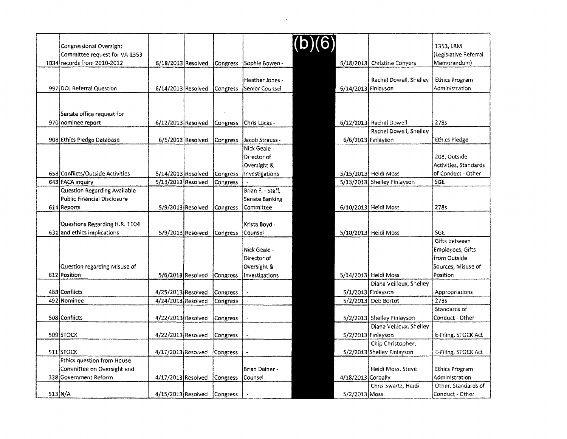| Congressional Oversight<br>Committee request for VA 1353 |                    |                   |                 |                        |                      |                             | 1353, LRM<br>(Legislative Referral |
|----------------------------------------------------------|--------------------|-------------------|-----------------|------------------------|----------------------|-----------------------------|------------------------------------|
| 1034 records from 2010-2012                              | 6/18/2013 Resolved |                   |                 | Congress Sophie Bowen- | 6/18/2013            | <b>Christine Conyers</b>    | Memorandum)                        |
|                                                          |                    |                   |                 |                        |                      |                             |                                    |
|                                                          |                    |                   |                 | Heather Jones -        |                      | Rachel Dowell, Shelley      | <b>Ethics Program</b>              |
| 997 DOJ Referral Question                                | 6/14/2013 Resolved |                   | Congress        | Senior Counsel         | 6/14/2013 Finlayson  |                             | Administration                     |
|                                                          |                    |                   |                 |                        |                      |                             |                                    |
|                                                          |                    |                   |                 |                        |                      |                             |                                    |
| Senate office request for                                |                    |                   |                 |                        |                      |                             |                                    |
| 970 nominee report                                       | 6/12/2013 Resolved |                   | Congress        | Chris Lucas -          |                      | 6/12/2013 Rachel Dowell     | 2785                               |
|                                                          |                    |                   |                 |                        |                      | Rachel Dowell, Shelley      |                                    |
| 908 Ethics Pledge Database                               | 6/5/2013 Resolved  |                   | Congress        | Jacob Strauss -        | 6/6/2013 Finlayson   |                             | <b>Ethics Pledge</b>               |
|                                                          |                    |                   |                 | Nick Geale -           |                      |                             |                                    |
|                                                          |                    |                   |                 | Director of            |                      |                             | 208, Outside                       |
|                                                          |                    |                   |                 | Oversight &            |                      |                             | Activities, Standards              |
| 658 Conflicts/Outside Activities                         | 5/14/2013 Resolved |                   | Congress        | Investigations         |                      | 5/15/2013 Heidi Moss        | of Conduct - Other                 |
| 643 FACA inquiry                                         | 5/13/2013 Resolved |                   | Congress        |                        |                      | 5/13/2013 Shelley Finlayson | SGE                                |
| Question Regarding Available                             |                    |                   |                 | Brian F. - Staff.      |                      |                             |                                    |
| Public Financial Disclosure                              |                    |                   |                 | Senate Banking         |                      |                             |                                    |
| 614 Reports                                              |                    | 5/9/2013 Resolved | <b>Congress</b> | Committee              |                      | 6/10/2013 Heidi Moss        | 278s                               |
|                                                          |                    |                   |                 |                        |                      |                             |                                    |
| Questions Regarding H.R. 1104                            |                    |                   |                 | Krista Boyd -          |                      |                             |                                    |
| 631 and ethics implications                              | 5/9/2013 Resolved  |                   | Congress        | Counsel                |                      | 5/10/2013 Heidi Moss        | <b>SGE</b>                         |
|                                                          |                    |                   |                 |                        |                      |                             | Gifts between                      |
|                                                          |                    |                   |                 | Nick Geale -           |                      |                             | Employees, Gifts                   |
|                                                          |                    |                   |                 | Director of            |                      |                             | lfrom Outside                      |
| Question regarding Misuse of                             |                    |                   |                 | Oversight &            |                      |                             | Sources, Misuse of                 |
| 612 Position                                             | 5/6/2013 Resolved  |                   | Congress        | Investigations         |                      | 5/14/2013 Heidi Moss        | Position                           |
|                                                          |                    |                   |                 |                        |                      | Diana Veilleux, Shelley     |                                    |
| 488 Conflicts                                            | 4/25/2013 Resolved |                   | Congress        |                        | 5/1/2013 Finlayson   |                             | Appropriations                     |
| 492 Nominee                                              | 4/24/2013 Resolved |                   | Congress        |                        |                      | 5/2/2013 Deb Bortot         | 2785                               |
|                                                          |                    |                   |                 |                        |                      |                             | Standards of                       |
| 508 Conflicts                                            | 4/22/2013 Resolved |                   | Congress        |                        |                      | 5/2/2013 Shelley Finlayson  | Conduct - Other                    |
|                                                          |                    |                   |                 |                        |                      | Diana Veilleux, Shelley     |                                    |
| 509 STOCK                                                | 4/22/2013 Resolved |                   | Congress        |                        | $5/2/2013$ Finlayson |                             | E-Filing, STOCK Act                |
|                                                          |                    |                   |                 |                        |                      | Chip Christopher,           |                                    |
| 511 STOCK                                                | 4/17/2013 Resolved |                   | Congress        |                        |                      | 5/2/2013 Shelley Finlayson  | E-Filing, STOCK Act                |
| Ethics question from House                               |                    |                   |                 |                        |                      |                             |                                    |
| Committee on Oversight and                               |                    |                   |                 | Brian Dainer -         |                      | Heidi Moss, Steve           | <b>Ethics Program</b>              |
| 338 Government Reform                                    | 4/17/2013 Resolved |                   | Congress        | <b>Counsel</b>         | $4/18/2013$ Corbally |                             | Administration                     |
|                                                          |                    |                   |                 |                        |                      | Chris Swartz, Heidi         | Other, Standards of                |
| $513$ N/A                                                | 4/15/2013 Resolved |                   | Congress        |                        | 5/2/2013 Moss        |                             | Conduct - Other                    |

 $\mathcal{L}(\mathcal{L}^{\mathcal{L}})$  and  $\mathcal{L}(\mathcal{L}^{\mathcal{L}})$  and  $\mathcal{L}(\mathcal{L}^{\mathcal{L}})$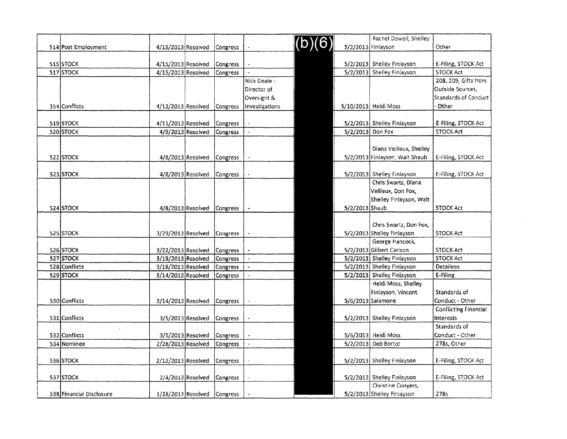|  |                          |                             |                     |                 |                       |        |                    | Rachel Dowell, Shelley         |                              |
|--|--------------------------|-----------------------------|---------------------|-----------------|-----------------------|--------|--------------------|--------------------------------|------------------------------|
|  | 514 Post Employment      | 4/15/2013 Resolved          |                     | Congress        |                       | (b)(6) | 5/2/2013 Finlayson |                                | Other                        |
|  |                          |                             |                     |                 |                       |        |                    |                                |                              |
|  | 515 STOCK                | 4/15/2013 Resolved          |                     | Congress        |                       |        |                    | 5/2/2013 Shelley Finlayson     | E-Filing, STOCK Act          |
|  | 517 STOCK                | 4/15/2013 Resolved          |                     | Congress        |                       |        |                    | 5/2/2013 Shelley Finlayson     | <b>STOCK Act</b>             |
|  |                          |                             |                     |                 | Nick Geale -          |        |                    |                                | 208, 209, Gifts fron         |
|  |                          |                             |                     |                 | Director of           |        |                    |                                | <b>Outside Squrces,</b>      |
|  |                          |                             |                     |                 | Oversight &           |        |                    |                                | <b>Standards of Condu</b>    |
|  | 354 Conflicts            | 4/12/2013 Resolved          |                     | Congress        | Investigations        |        |                    | 5/10/2013 Heidi Moss           | Other                        |
|  |                          |                             |                     |                 |                       |        |                    |                                |                              |
|  | 519 STOCK                | 4/11/2013 Resolved          |                     | Congress        |                       |        |                    | 5/2/2013 Shelley Finlayson     | E-Filing, STOCK Act          |
|  | 520 STOCK                | 4/9/2013 Resolved           |                     | Congress        | $\blacksquare$        |        | 5/2/2013 Don Fox   |                                | <b>STOCK Act</b>             |
|  |                          |                             |                     |                 |                       |        |                    |                                |                              |
|  |                          |                             |                     |                 |                       |        |                    | Diana Veilleux, Shelley        |                              |
|  | 522 STOCK                | 4/8/2013 Resolved           |                     | Congress        |                       |        |                    | 5/2/2013 Finlayson, Walt Shaub | E-Filing, STOCK Act          |
|  |                          |                             |                     |                 |                       |        |                    |                                |                              |
|  | 523 STOCK                |                             | 4/8/2013 Resolved   | Congress        |                       |        |                    | 5/2/2013 Shelley Finlayson     | E-Filing, STOCK Act          |
|  |                          |                             |                     |                 |                       |        |                    | Chris Swartz, Diana            |                              |
|  |                          |                             |                     |                 |                       |        |                    | Veilleux, Don Fox,             |                              |
|  |                          |                             |                     |                 |                       |        |                    | Shelley Finlayson, Walt        |                              |
|  | 524 STOCK                |                             | $4/8/2013$ Resolved | Congress        |                       |        | $5/2/2013$ Shaub   |                                | <b>STOCK Act</b>             |
|  |                          |                             |                     |                 |                       |        |                    |                                |                              |
|  |                          |                             |                     |                 |                       |        |                    | Chris Swartz, Don Fox,         |                              |
|  | 525 STOCK                | 3/29/2013 Resolved          |                     | <b>Congress</b> |                       |        |                    | 5/2/2013 Shelley Finlayson     | <b>STOCK Act</b>             |
|  |                          |                             |                     |                 |                       |        |                    | George Hancock,                |                              |
|  | 526 STOCK                | 3/22/2013 Resolved          |                     | Congress        | $\ddot{\phantom{1}}$  |        |                    | 5/2/2013 Gilbert Carlson       | <b>STOCK Act</b>             |
|  | 527 STOCK                | 3/19/2013 Resolved          |                     | Congress        |                       |        |                    | 5/2/2013 Shelley Finlayson     | <b>STOCK Act</b>             |
|  | 528 Conflicts            | 3/18/2013 Resolved          |                     | Congress        | $\mathbf{a}$          |        |                    | 5/2/2013 Shelley Finlayson     | <b>Detailees</b><br>E-Filing |
|  | 529 STOCK                | 3/14/2013 Resolved          |                     | Congress        | $\tilde{\phantom{a}}$ |        |                    | 5/2/2013 Shelley Finlayson     |                              |
|  |                          |                             |                     |                 |                       |        |                    | Heidi Moss, Shelley            |                              |
|  |                          |                             |                     |                 |                       |        |                    | Finlayson, Vincent             | Standards of                 |
|  | 530 Conflicts            | 3/14/2013 Resolved          |                     | <b>Congress</b> |                       |        |                    | 5/6/2013 Salamone              | Conduct - Other              |
|  |                          |                             |                     |                 |                       |        |                    |                                | <b>Conflicting Financia</b>  |
|  | 531 Conflicts            |                             | 3/5/2013 Resolved   | <b>Congress</b> |                       |        |                    | 5/2/2013 Shelley Finlayson     | <b>Interests</b>             |
|  |                          |                             |                     |                 |                       |        |                    |                                | Standards of                 |
|  | 532 Conflicts            | 3/5/2013 Resolved           |                     | Congress        |                       |        |                    | 5/6/2013 Heidi Moss            | Conduct - Other              |
|  | 534 Nominee              | 2/28/2013 Resolved          |                     | Congress        | $\mathbf{r}$          |        |                    | $5/2/2013$ Deb Bortot          | 278s, Other                  |
|  |                          |                             |                     |                 |                       |        |                    |                                |                              |
|  | 536 STOCK                | $2/12/2013$ Resolved        |                     | Congress        |                       |        |                    | 5/2/2013 Shelley Finlayson     | E-Filing, STOCK Act          |
|  |                          |                             |                     |                 |                       |        |                    |                                |                              |
|  | 537 STOCK                | 2/4/2013 Resolved           |                     | Congress        |                       |        |                    | 5/2/2013 Shelley Finlayson     | E-Filing, STOCK Act          |
|  |                          |                             |                     |                 |                       |        |                    | Christine Conyers,             |                              |
|  | 538 Financial Disclosure | 1/28/2013 Resolved Congress |                     |                 |                       |        |                    | 5/2/2013 Shelley Finiayson     | 278s                         |

|          |                      |        |                  | Rachel Dowell, Shelley         |                              |
|----------|----------------------|--------|------------------|--------------------------------|------------------------------|
| Congress |                      | (b)(6) |                  | 5/2/2013 Finlayson             | Other                        |
|          |                      |        |                  |                                |                              |
| Congress |                      |        |                  | 5/2/2013 Shelley Finlayson     | E-Filing, STOCK Act          |
| Congress |                      |        |                  | 5/2/2013 Shelley Finlayson     | <b>STOCK Act</b>             |
|          | Nick Geale -         |        |                  |                                | 208, 209, Gifts from         |
|          | Director of          |        |                  |                                | Outside Sources,             |
|          | Oversight &          |        |                  |                                | <b>Standards of Conduct</b>  |
| Congress | Investigations       |        |                  | 5/10/2013 Heidi Moss           | Other                        |
|          |                      |        |                  |                                |                              |
| Congress |                      |        |                  | 5/2/2013 Shelley Finlayson     | E-Filing, STOCK Act          |
| Congress | $\overline{a}$       |        | 5/2/2013 Don Fox |                                | <b>STOCK Act</b>             |
|          |                      |        |                  |                                |                              |
|          |                      |        |                  | Diana Veilleux, Sheiley        |                              |
| Congress |                      |        |                  | 5/2/2013 Finlayson, Walt Shaub | E-Filing, STOCK Act          |
|          |                      |        |                  |                                |                              |
| Congress |                      |        |                  | 5/2/2013] Shelley Finlayson    | E-Filing, STOCK Act          |
|          |                      |        |                  | Chris Swartz, Diana            |                              |
|          |                      |        |                  | Veilleux, Don Fox,             |                              |
|          |                      |        |                  | Shelley Finlayson, Walt        |                              |
| Congress |                      |        | 5/2/2013 Shaub   |                                | <b>STOCK Act</b>             |
|          |                      |        |                  |                                |                              |
|          |                      |        |                  | Chris Swartz, Don Fox,         |                              |
| Congress |                      |        |                  | 5/2/2013 Shelley Finlayson     | <b>STOCK Act</b>             |
|          |                      |        |                  | George Hancock,                |                              |
| Congress |                      |        |                  | 5/2/2013 Gilbert Carlson       | <b>STOCK Act</b>             |
| Congress | $\ddot{\phantom{0}}$ |        |                  | 5/2/2013 Shelley Finlayson     | <b>STOCK Act</b>             |
| Congress | w                    |        |                  | 5/2/2013 Shelley Finlayson     | <b>Detailees</b>             |
| Congress |                      |        |                  | 5/2/2013 Shelley Finlayson     | E-Filing                     |
|          |                      |        |                  | Heidi Moss, Shelley            |                              |
|          |                      |        |                  | Finlayson, Vincent             | Standards of                 |
| Congress |                      |        |                  | 5/6/2013 Salamone              | Conduct - Other              |
|          |                      |        |                  |                                | <b>Conflicting Financial</b> |
| Congress |                      |        |                  | S/2/2013 Shelley Finlayson     | <b>Interests</b>             |
|          |                      |        |                  |                                | Standards of                 |
| Congress |                      |        |                  | 5/6/2013 Heidi Moss            | Conduct - Other              |
| Congress |                      |        |                  | 5/2/2013 Deb Bortot            | 278s, Other                  |
|          |                      |        |                  |                                |                              |
| Congress |                      |        |                  | 5/2/2013 Shelley Finlayson     | E-Filing, STOCK Act          |
|          |                      |        |                  |                                |                              |
| Congress |                      |        |                  | 5/2/2013 Shelley Finlayson     | E-Filing, STOCK Act          |
|          |                      |        |                  | Christine Conyers,             |                              |
| Congress |                      |        |                  | 5/2/2013 Shelley Finiayson     | 278s                         |
|          |                      |        |                  |                                |                              |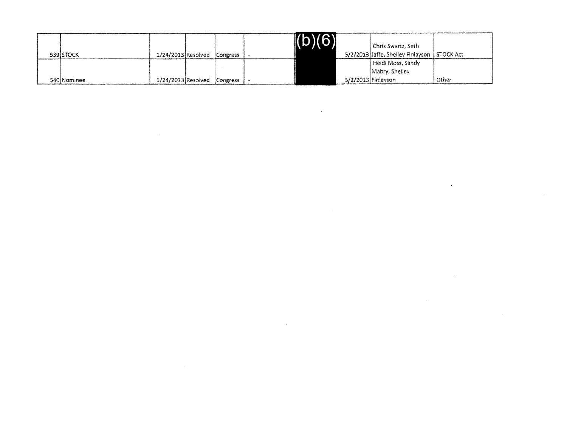|             |                             |  | (b)(6) |                    | Chris Swartz, Seth-                           |       |
|-------------|-----------------------------|--|--------|--------------------|-----------------------------------------------|-------|
| 539 STOCK   | 1/24/2013 Resolved Congress |  |        |                    | 5/2/2013 Jaffe, Shelley Finlayson   STOCK Act |       |
|             |                             |  |        |                    | Heidi Moss, Sandy                             |       |
|             |                             |  |        |                    | Mabry, Shelley                                |       |
| 540 Nominee | 1/24/2013 Resolved Congress |  |        | 5/2/2013 Finlayson |                                               | Other |

 $\mathcal{L}(\mathcal{L}(\mathcal{L}))$  and  $\mathcal{L}(\mathcal{L}(\mathcal{L}))$  . The contribution of  $\mathcal{L}(\mathcal{L})$ 

 $\mathcal{L}(\mathcal{L}(\mathcal{L}))$  and  $\mathcal{L}(\mathcal{L}(\mathcal{L}))$  . The contribution of  $\mathcal{L}(\mathcal{L})$ 

 $\label{eq:2.1} \frac{1}{\sqrt{2}}\left(\frac{1}{\sqrt{2}}\right)^{2} \left(\frac{1}{\sqrt{2}}\right)^{2} \left(\frac{1}{\sqrt{2}}\right)^{2} \left(\frac{1}{\sqrt{2}}\right)^{2} \left(\frac{1}{\sqrt{2}}\right)^{2} \left(\frac{1}{\sqrt{2}}\right)^{2} \left(\frac{1}{\sqrt{2}}\right)^{2} \left(\frac{1}{\sqrt{2}}\right)^{2} \left(\frac{1}{\sqrt{2}}\right)^{2} \left(\frac{1}{\sqrt{2}}\right)^{2} \left(\frac{1}{\sqrt{2}}\right)^{2} \left(\$ 

 $\mathcal{L}(\mathcal{L}(\mathcal{L}))$  and  $\mathcal{L}(\mathcal{L}(\mathcal{L}))$  . The contribution of  $\mathcal{L}(\mathcal{L})$ 

 $\label{eq:2.1} \frac{1}{\sqrt{2}}\int_{\mathbb{R}^3}\frac{1}{\sqrt{2}}\left(\frac{1}{\sqrt{2}}\right)^2\frac{1}{\sqrt{2}}\left(\frac{1}{\sqrt{2}}\right)^2\frac{1}{\sqrt{2}}\left(\frac{1}{\sqrt{2}}\right)^2\frac{1}{\sqrt{2}}\left(\frac{1}{\sqrt{2}}\right)^2.$ 

 $\label{eq:2.1} \frac{1}{\sqrt{2}}\int_{\mathbb{R}^3}\frac{1}{\sqrt{2}}\left(\frac{1}{\sqrt{2}}\right)^2\left(\frac{1}{\sqrt{2}}\right)^2\left(\frac{1}{\sqrt{2}}\right)^2\left(\frac{1}{\sqrt{2}}\right)^2\left(\frac{1}{\sqrt{2}}\right)^2\left(\frac{1}{\sqrt{2}}\right)^2.$ 

 $\mathcal{L}(\mathcal{L}(\mathcal{L}(\mathcal{L}(\mathcal{L}(\mathcal{L}(\mathcal{L}(\mathcal{L}(\mathcal{L}(\mathcal{L}(\mathcal{L}(\mathcal{L}(\mathcal{L}(\mathcal{L}(\mathcal{L}(\mathcal{L}(\mathcal{L}(\mathcal{L}(\mathcal{L}(\mathcal{L}(\mathcal{L}(\mathcal{L}(\mathcal{L}(\mathcal{L}(\mathcal{L}(\mathcal{L}(\mathcal{L}(\mathcal{L}(\mathcal{L}(\mathcal{L}(\mathcal{L}(\mathcal{L}(\mathcal{L}(\mathcal{L}(\mathcal{L}(\mathcal{L}(\mathcal{$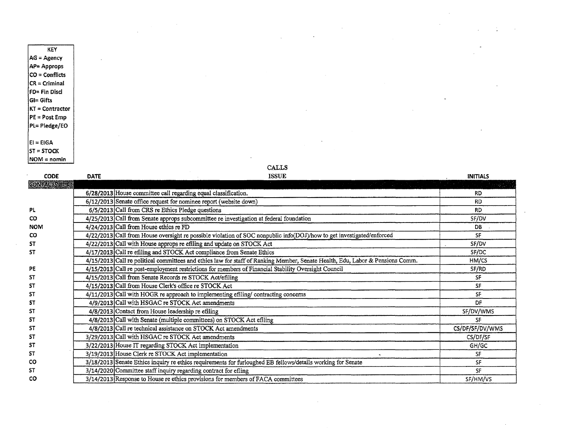KEY AG= Agency AP= Approps  $CO =$  Conflicts  $CR = Criminal$ FD= Fin Disc! GI= Gifts KT = Contractor  $PE = Post Emp$ Pl= Pledge/EO  $|E|$  = EIGA  $ST = STOCK$  $NOM = n$ omin

CALLS

ISSUE CODE DATE INITIALS **CONTACTS** RD 6/28/2013 House committee call regarding equal classification. RD 6/12/2013 Senate office request for nominee report (website down) PL RD 6/5/2013 Call from CRS re Ethics Pledge questions co SF/DV 4/25/2013 Call from Senate approps subcommittee re investigation at federal foundation DB NOM 4/24/2013 Call from House ethics re FD SF co 4/22/2013 Call from House oversight re possible violation of SOC nonpublic info(DOJ)/how to get investigated/enforced ST SF/DV 4/22/2013 Call with House approps re efiling and update on STOCK Act ST SF/DC 4/17/2013 Call re efiling and STOCK Act compliance from Senate Ethics HM/CS 4/15/2013 Call re political committees and ethics law for staff of Ranking Member, Senate Health, Edu, Labor & Pensions Comm. PE SF/RD 4/15/2013 Call re post-employment restrictions for members of Financial Stability Oversight Council ST SF 4/15/2013 Call from Senate Records re STOCK Act/efiling ST SF 4/15/2013 Call from House Clerk's office re STOCK Act SF ST 4/11/2013 Call with HOGR re approach to implementing efiling/ contracting concerns DF ST 4/9/2013 Call with HSGAC re STOCK Act amendments ST SF/DV/WMS 4/8/2013 Contact from House leadership re efiling ST SF 4/8/2013 Call with Senate (multiple committees) on STOCK Act efiling ST 4/8/2013 Call re technical assistance on STOCK Act amendments CS/DF/SF/DV/WMS ST CS/DF/SF 3/29/2013 Call with HSGAC re STOCK Act amendments ST 3/22/2013 House IT regarding STOCK Act implementation GH/GC ST 3/19/2013 House Clerk re STOCK Act implementation 3/19/2013 House Clerk re STOCK Act implementation<br>3/18/2013 Senate Ethics inquiry re ethics requirements for furloughed EB fellows/details working for Senate SF co SF ST SF 3/14/2020 Committee staff inquiry regarding contract for efling co 3/14/2013 Response to House re ethics provisions for members ofFACA committees SF/HM/VS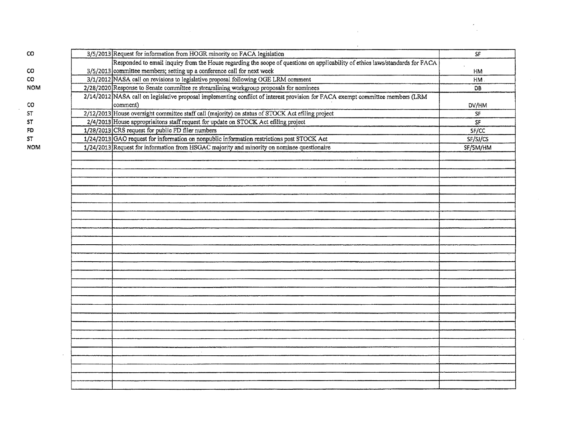| CO         | 3/5/2013 Request for information from HOGR minority on FACA legislation                                                        | SF                       |
|------------|--------------------------------------------------------------------------------------------------------------------------------|--------------------------|
|            | Responded to email inquiry from the House regarding the scope of questions on applicability of ethics laws/standards for FACA  |                          |
| CO         | $3/5/2013$ committee members; setting up a conference call for next week                                                       | HM                       |
| co         | 3/1/2012 NASA call on revisions to legislative proposal following OGE LRM comment                                              | HM.                      |
| <b>NOM</b> | 2/28/2020 Response to Senate committee re streamlining workgroup proposals for nominees                                        | DB.                      |
|            | 2/14/2012 NASA call on legislative proposal implementing conflict of interest provision for FACA exempt committee members (LRM |                          |
| CO         | comment)                                                                                                                       | DV/HM                    |
| ST         | 2/12/2013 House oversight committee staff call (majority) on status of STOCK Act efiling project                               | $\overline{\mathsf{S}F}$ |
| 5T         | 2/4/2013 House appropriaitons staff request for update on STOCK Act efiling project                                            | SF                       |
| FD         | 1/28/2013 CRS request for public FD filer numbers                                                                              | SF/CC                    |
| 57         | 1/24/2013 GAO request for information on nonpublic information restrictions post STOCK Act                                     | SF/SJ/CS                 |
| <b>NOM</b> | 1/24/2013 Request for information from HSGAC majority and minority on nominee questionaire                                     | SF/SM/HM                 |
|            |                                                                                                                                |                          |
|            |                                                                                                                                |                          |
|            |                                                                                                                                |                          |
|            | $\Delta$                                                                                                                       |                          |
|            |                                                                                                                                |                          |
|            |                                                                                                                                |                          |
|            |                                                                                                                                |                          |
|            |                                                                                                                                |                          |
|            |                                                                                                                                |                          |
|            |                                                                                                                                |                          |
|            |                                                                                                                                |                          |
|            |                                                                                                                                |                          |
|            |                                                                                                                                |                          |
|            |                                                                                                                                |                          |
|            |                                                                                                                                |                          |
|            |                                                                                                                                |                          |
|            |                                                                                                                                |                          |
|            |                                                                                                                                |                          |
|            |                                                                                                                                |                          |
|            |                                                                                                                                |                          |
|            |                                                                                                                                |                          |
|            |                                                                                                                                |                          |
|            |                                                                                                                                |                          |
|            |                                                                                                                                |                          |
|            |                                                                                                                                |                          |
|            |                                                                                                                                |                          |
|            |                                                                                                                                |                          |
|            |                                                                                                                                |                          |
|            |                                                                                                                                |                          |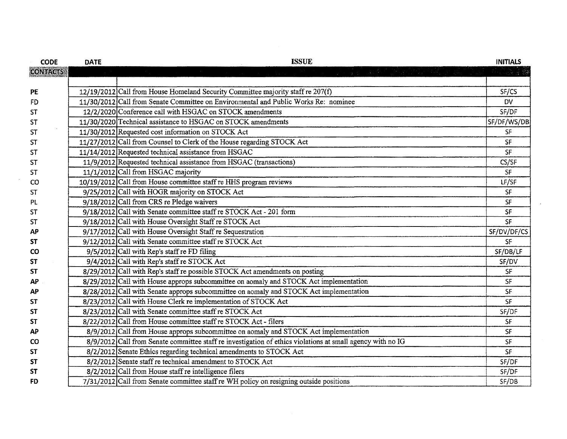| <b>CODE</b>     | <b>DATE</b> | <b>ISSUE</b>                                                                                               | <b>INITIALS</b> |
|-----------------|-------------|------------------------------------------------------------------------------------------------------------|-----------------|
| <b>CONTACTS</b> |             | 그 사이 그리스 아이는 사람들의 사람의 사람들이 아니?<br>-                                                                        | <i>가 있을 것</i>   |
|                 |             |                                                                                                            |                 |
| PE              |             | 12/19/2012 Call from House Homeland Security Committee majority staff re 207(f)                            | SF/CS           |
| FD              |             | 11/30/2012 Call from Senate Committee on Environmental and Public Works Re: nominee                        | <b>DV</b>       |
| <b>ST</b>       |             | 12/2/2020 Conference call with HSGAC on STOCK amendments                                                   | SF/DF           |
| <b>ST</b>       |             | 11/30/2020 Technical assistance to HSGAC on STOCK amendments                                               | SF/DF/WS/DB     |
| <b>ST</b>       |             | 11/30/2012 Requested cost information on STOCK Act                                                         | SF              |
| <b>ST</b>       |             | 11/27/2012 Call from Counsel to Clerk of the House regarding STOCK Act                                     | SF              |
| <b>ST</b>       |             | 11/14/2012 Requested technical assistance from HSGAC                                                       | SF              |
| <b>ST</b>       |             | 11/9/2012 Requested technical assistance from HSGAC (transactions)                                         | CS/SF           |
| <b>ST</b>       |             | 11/1/2012 Call from HSGAC majority                                                                         | <b>SF</b>       |
| CO              |             | 10/19/2012 Call from House committee staff re HHS program reviews                                          | LF/SF           |
| <b>ST</b>       |             | 9/25/2012 Call with HOGR majority on STOCK Act                                                             | SF              |
| PL              |             | 9/18/2012 Call from CRS re Pledge waivers                                                                  | <b>SF</b>       |
| <b>ST</b>       |             | 9/18/2012 Call with Senate committee staff re STOCK Act - 201 form                                         | SF              |
| <b>ST</b>       |             | 9/18/2012 Call with House Oversight Staff re STOCK Act                                                     | <b>SF</b>       |
| АP              |             | 9/17/2012 Call with House Oversight Staff re Sequestration                                                 | SF/DV/DF/CS     |
| <b>ST</b>       |             | 9/12/2012 Call with Senate committee staff re STOCK Act                                                    | SF              |
| <b>CO</b>       |             | 9/5/2012 Call with Rep's staff re FD filing                                                                | SF/DB/LF        |
| <b>ST</b>       |             | 9/4/2012 Call with Rep's staff re STOCK Act                                                                | SF/DV           |
| <b>ST</b>       |             | 8/29/2012 Call with Rep's staff re possible STOCK Act amendments on posting                                | SF              |
| <b>AP</b>       |             | 8/29/2012 Call with House approps subcommittee on aomaly and STOCK Act implementation                      | SF              |
| <b>AP</b>       |             | 8/28/2012 Call with Senate approps subcommittee on aomaly and STOCK Act implementation                     | SF              |
| <b>ST</b>       |             | 8/23/2012 Call with House Clerk re implementation of STOCK Act                                             | <b>SF</b>       |
| <b>ST</b>       |             | 8/23/2012 Call with Senate committee staff re STOCK Act                                                    | SF/DF           |
| <b>ST</b>       |             | 8/22/2012 Call from House committee staff re STOCK Act - filers                                            | <b>SF</b>       |
| AP              |             | 8/9/2012 Call from House approps subcommittee on aomaly and STOCK Act implementation                       | <b>SF</b>       |
| <b>CO</b>       |             | 8/9/2012 Call from Senate committee staff re investigation of ethics violations at small agency with no IG | SF              |
| <b>ST</b>       |             | 8/2/2012 Senate Ethics regarding technical amendments to STOCK Act                                         | SF              |
| <b>ST</b>       |             | 8/2/2012 Senate staff re technical amendment to STOCK Act                                                  | SF/DF           |
| <b>ST</b>       |             | $8/2/2012$ Call from House staff re intelligence filers                                                    | SF/DF           |
| <b>FD</b>       |             | 7/31/2012 Call from Senate committee staff re WH policy on resigning outside positions                     | SF/DB           |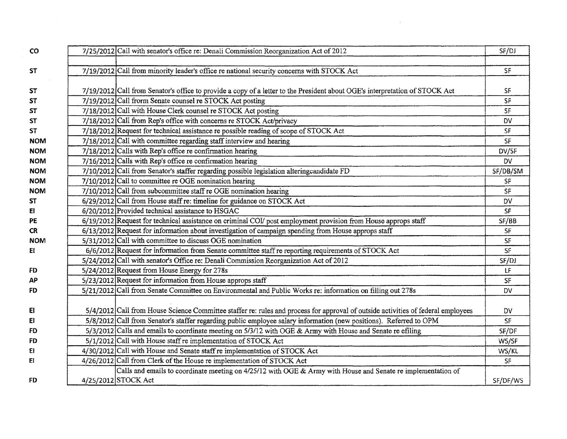| $\mathbf{C}\mathbf{O}$ | 7/25/2012 Call with senator's office re: Denali Commission Reorganization Act of 2012                                            | SF/DJ         |
|------------------------|----------------------------------------------------------------------------------------------------------------------------------|---------------|
| <b>ST</b>              | 7/19/2012 Call from minority leader's office re national security concerns with STOCK Act                                        | SF            |
|                        |                                                                                                                                  |               |
| ST                     | 7/19/2012 Call from Senator's office to provide a copy of a letter to the President about OGE's interpretation of STOCK Act      | SF            |
| ST                     | 7/19/2012 Call frorm Senate counsel re STOCK Act posting                                                                         | SF            |
| ST                     | 7/18/2012 Call with House Clerk counsel re STOCK Act posting                                                                     | SF            |
| <b>ST</b>              | 7/18/2012 Call from Rep's office with concerns re STOCK Act/privacy                                                              | DV            |
| <b>ST</b>              | 7/18/2012 Request for technical assistance re possible reading of scope of STOCK Act                                             | <b>SF</b>     |
| <b>NOM</b>             | $7/18/2012$ Call with committee regarding staff interview and hearing                                                            | SF            |
| <b>NOM</b>             | 7/18/2012 Calls with Rep's office re confirmation hearing                                                                        | DV/SF         |
| <b>NOM</b>             | $7/16/2012$ Calls with Rep's office re confirmation hearing                                                                      | <b>DV</b>     |
| <b>NOM</b>             | 7/10/2012 Call from Senator's staffer regarding possible legislation alteringcandidate FD                                        | SF/DB/SM      |
| <b>NOM</b>             | $7/10/2012$ Call to committee re OGE nomination hearing                                                                          | SF            |
| <b>NOM</b>             | 7/10/2012 Call from subcommittee staff re OGE nomination hearing                                                                 | SF            |
| ST                     | 6/29/2012 Call from House staff re: timeline for guidance on STOCK Act                                                           | DV            |
| EI                     | 6/20/2012 Provided technical assistance to HSGAC                                                                                 | SF            |
| PE                     | 6/19/2012 Request for technical assistance on criminal COI/ post employment provision from House approps staff                   | SF/BB         |
| <b>CR</b>              | 6/13/2012 Request for information about investigation of campaign spending from House approps staff                              | SF            |
| <b>NOM</b>             | 5/31/2012 Call with committee to discuss OGE nomination                                                                          | $\mathsf{SF}$ |
| EI                     | 6/6/2012 Request for information from Senate committee staff re reporting requirements of STOCK Act                              | SF            |
|                        | 5/24/2012 Call with senator's Office re: Denali Commission Reorganization Act of 2012                                            | SF/DJ         |
| FD                     | 5/24/2012 Request from House Energy for 278s                                                                                     | LF            |
| AP                     | 5/23/2012 Request for information from House approps staff                                                                       | SF            |
| FD                     | 5/21/2012 Call from Senate Committee on Environmental and Public Works re: information on filling out 278s                       | DV            |
| EI                     | 5/4/2012 Call from House Science Committee staffer re: rules and process for approval of outside activities of federal employees | DV            |
| EI                     | 5/8/2012 Call from Senator's staffer regarding public employee salary information (new positions). Referred to OPM               | SF            |
| FD                     | 5/3/2012 Calls and emails to coordinate meeting on 5/3/12 with OGE & Army with House and Senate re efiling                       | SF/DF         |
| FD                     | 5/1/2012 Call with House staff re implementation of STOCK Act                                                                    | WS/SF         |
| EI                     | 4/30/2012 Call with House and Senate staff re implementation of STOCK Act                                                        | WS/KL         |
| EI                     | 4/26/2012 Call from Clerk of the House re implementation of STOCK Act                                                            | ${\sf SF}$    |
|                        | Calls and emails to coordinate meeting on 4/25/12 with OGE & Army with House and Senate re implementation of                     |               |
| FD                     | 4/25/2012 STOCK Act                                                                                                              | SF/DF/WS      |

 $\label{eq:2.1} \frac{1}{\sqrt{2}}\left(\frac{1}{\sqrt{2}}\right)^{2} \left(\frac{1}{\sqrt{2}}\right)^{2} \left(\frac{1}{\sqrt{2}}\right)^{2} \left(\frac{1}{\sqrt{2}}\right)^{2} \left(\frac{1}{\sqrt{2}}\right)^{2} \left(\frac{1}{\sqrt{2}}\right)^{2} \left(\frac{1}{\sqrt{2}}\right)^{2} \left(\frac{1}{\sqrt{2}}\right)^{2} \left(\frac{1}{\sqrt{2}}\right)^{2} \left(\frac{1}{\sqrt{2}}\right)^{2} \left(\frac{1}{\sqrt{2}}\right)^{2} \left(\$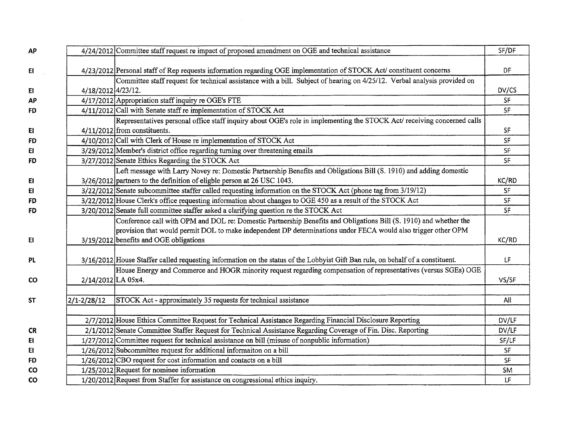| <b>AP</b> |                    | 4/24/2012 Committee staff request re impact of proposed amendment on OGE and technical assistance                              | SF/DF     |
|-----------|--------------------|--------------------------------------------------------------------------------------------------------------------------------|-----------|
| E         |                    | 4/23/2012 Personal staff of Rep requests information regarding OGE implementation of STOCK Act/ constituent concerns           | DF        |
|           |                    | Committee staff request for technical assistance with a bill. Subject of hearing on 4/25/12. Verbal analysis provided on       |           |
| E1        | 4/18/2012 4/23/12. |                                                                                                                                | DV/CS     |
| AP        |                    | 4/17/2012 Appropriation staff inquiry re OGE's FTE                                                                             | SF        |
| FD        |                    | 4/11/2012 Call with Senate staff re implementation of STOCK Act                                                                | <b>SF</b> |
|           |                    | Representatives personal office staff inquiry about OGE's role in implementing the STOCK Act/ receiving concerned calls        |           |
| E1        |                    | 4/11/2012 from constituents.                                                                                                   | SF        |
| <b>FD</b> |                    | 4/10/2012 Call with Clerk of House re implementation of STOCK Act                                                              | SF        |
| EI.       |                    | 3/29/2012 Member's district office regarding turning over threatening emails                                                   | SF        |
| <b>FD</b> |                    | 3/27/2012 Senate Ethics Regarding the STOCK Act                                                                                | <b>SF</b> |
|           |                    | Left message with Larry Novey re: Domestic Partnership Benefits and Obligations Bill (S. 1910) and adding domestic             |           |
| EI        |                    | 3/26/2012 partners to the definition of eligble person at 26 USC 1043.                                                         | KC/RD     |
| EI        |                    | 3/22/2012 Senate subcommittee staffer called requesting information on the STOCK Act (phone tag from 3/19/12)                  | <b>SF</b> |
| <b>FD</b> |                    | 3/22/2012 House Clerk's office requesting information about changes to OGE 450 as a result of the STOCK Act                    | <b>SF</b> |
| <b>FD</b> |                    | 3/20/2012 Senate full committee staffer asked a clarifying question re the STOCK Act                                           | SF        |
|           |                    | Conference call with OPM and DOL re: Domestic Partnership Benefits and Obligations Bill (S. 1910) and whether the              |           |
|           |                    | provision that would permit DOL to make independent DP determinations under FECA would also trigger other OPM                  |           |
| E1        |                    | 3/19/2012 benefits and OGE obligations                                                                                         | KC/RD     |
|           |                    |                                                                                                                                |           |
| <b>PL</b> |                    | 3/16/2012 House Staffer called requesting information on the status of the Lobbyist Gift Ban rule, on behalf of a constituent. | LF        |
|           |                    | House Energy and Commerce and HOGR minority request regarding compensation of representatives (versus SGEs) OGE                |           |
| <b>CO</b> | 2/14/2012 LA 05x4. |                                                                                                                                | VS/SF     |
| <b>ST</b> | $2/1 - 2/28/12$    | STOCK Act - approximately 35 requests for technical assistance                                                                 | All       |
|           |                    |                                                                                                                                |           |
|           |                    | 2/7/2012 House Ethics Committee Request for Technical Assistance Regarding Financial Disclosure Reporting                      | DV/LF     |
| <b>CR</b> |                    | 2/1/2012 Senate Committee Staffer Request for Technical Assistance Regarding Coverage of Fin. Disc. Reporting                  | DV/LF     |
| E1        |                    | 1/27/2012 Committee request for technical assistance on bill (misuse of nonpublic information)                                 | SF/LF     |
| EI        |                    | 1/26/2012 Subcommittee request for additional informaiton on a bill                                                            | <b>SF</b> |
| <b>FD</b> |                    | 1/26/2012 CBO request for cost information and contacts on a bill                                                              | <b>SF</b> |
| <b>CO</b> |                    | $1/25/2012$ Request for nominee information                                                                                    | <b>SM</b> |
| CO        |                    | 1/20/2012 Request from Staffer for assistance on congressional ethics inquiry.                                                 | LF        |

 $\mathcal{L}^{\mathcal{L}}(\mathcal{L}^{\mathcal{L}})$  and  $\mathcal{L}^{\mathcal{L}}(\mathcal{L}^{\mathcal{L}})$  and  $\mathcal{L}^{\mathcal{L}}(\mathcal{L}^{\mathcal{L}})$